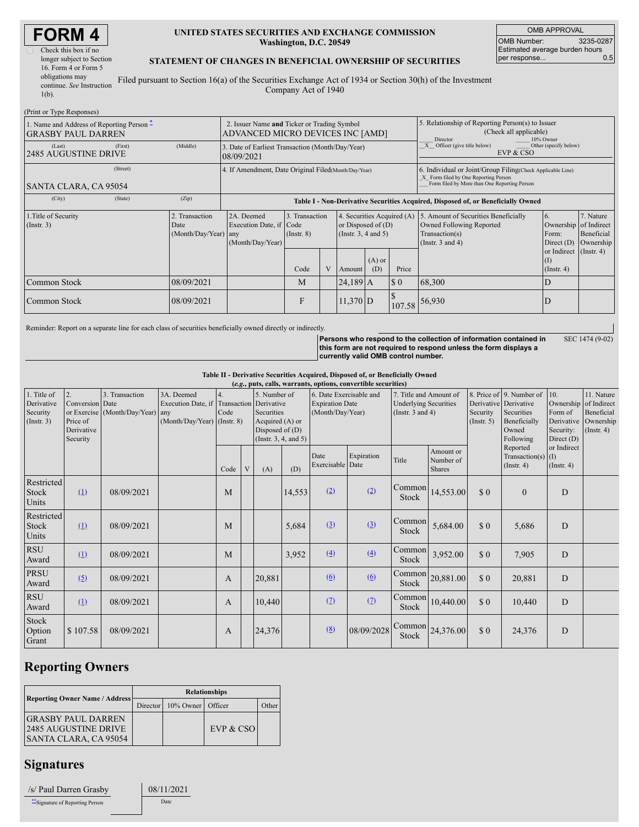| Check this box if no      |
|---------------------------|
| longer subject to Section |
| 16. Form 4 or Form 5      |
| obligations may           |
| continue. See Instruction |
| $1(b)$ .                  |

### **UNITED STATES SECURITIES AND EXCHANGE COMMISSION Washington, D.C. 20549**

OMB APPROVAL OMB Number: 3235-0287 Estimated average burden hours<br>per response... 0.5 per response...

### **STATEMENT OF CHANGES IN BENEFICIAL OWNERSHIP OF SECURITIES**

Filed pursuant to Section 16(a) of the Securities Exchange Act of 1934 or Section 30(h) of the Investment Company Act of 1940

| (Print or Type Responses)                                              |         |                                                                                 |                                                                                  |                                   |   |                                                                                |                                                                                                                                                    |                                                                                                     |                                                                                                             |                                                                          |                                      |  |
|------------------------------------------------------------------------|---------|---------------------------------------------------------------------------------|----------------------------------------------------------------------------------|-----------------------------------|---|--------------------------------------------------------------------------------|----------------------------------------------------------------------------------------------------------------------------------------------------|-----------------------------------------------------------------------------------------------------|-------------------------------------------------------------------------------------------------------------|--------------------------------------------------------------------------|--------------------------------------|--|
| 1. Name and Address of Reporting Person -<br><b>GRASBY PAUL DARREN</b> |         | 2. Issuer Name and Ticker or Trading Symbol<br>ADVANCED MICRO DEVICES INC [AMD] |                                                                                  |                                   |   |                                                                                |                                                                                                                                                    | 5. Relationship of Reporting Person(s) to Issuer<br>(Check all applicable)<br>Director<br>10% Owner |                                                                                                             |                                                                          |                                      |  |
| (Last)<br><b>2485 AUGUSTINE DRIVE</b>                                  | (First) | (Middle)                                                                        | 3. Date of Earliest Transaction (Month/Day/Year)<br>08/09/2021                   |                                   |   |                                                                                |                                                                                                                                                    |                                                                                                     | $\overline{X}$ Officer (give title below)<br>Other (specify below)<br>EVP & CSO                             |                                                                          |                                      |  |
| SANTA CLARA, CA 95054                                                  |         | 4. If Amendment, Date Original Filed(Month/Day/Year)                            |                                                                                  |                                   |   |                                                                                | 6. Individual or Joint/Group Filing(Check Applicable Line)<br>X Form filed by One Reporting Person<br>Form filed by More than One Reporting Person |                                                                                                     |                                                                                                             |                                                                          |                                      |  |
| (City)                                                                 | (State) | (Zip)                                                                           | Table I - Non-Derivative Securities Acquired, Disposed of, or Beneficially Owned |                                   |   |                                                                                |                                                                                                                                                    |                                                                                                     |                                                                                                             |                                                                          |                                      |  |
| 1. Title of Security<br>$($ Instr. 3 $)$                               |         | Transaction<br>Date<br>(Month/Day/Year) any                                     | 2A. Deemed<br>Execution Date, if Code<br>(Month/Day/Year)                        | 3. Transaction<br>$($ Instr. $8)$ |   | 4. Securities Acquired (A)<br>or Disposed of $(D)$<br>(Instr. $3, 4$ and $5$ ) |                                                                                                                                                    |                                                                                                     | 5. Amount of Securities Beneficially<br>Owned Following Reported<br>Transaction(s)<br>(Instr. $3$ and $4$ ) | $\overline{6}$ .<br>Ownership of Indirect<br>Form:<br>Direct $(D)$       | 7. Nature<br>Beneficial<br>Ownership |  |
|                                                                        |         |                                                                                 |                                                                                  | Code                              | V | Amount                                                                         | $(A)$ or<br>(D)                                                                                                                                    | Price                                                                                               |                                                                                                             | or Indirect (Instr. 4)<br>$\left( \mathrm{I}\right)$<br>$($ Instr. 4 $)$ |                                      |  |
| Common Stock                                                           |         | 08/09/2021                                                                      |                                                                                  | M                                 |   | $24,189$ A                                                                     |                                                                                                                                                    | \$0                                                                                                 | 68,300                                                                                                      | D                                                                        |                                      |  |
| Common Stock                                                           |         | 08/09/2021                                                                      |                                                                                  | F                                 |   | $11,370$ D                                                                     |                                                                                                                                                    |                                                                                                     | 107.58 56,930                                                                                               | D                                                                        |                                      |  |

Reminder: Report on a separate line for each class of securities beneficially owned directly or indirectly.

**Persons who respond to the collection of information contained in this form are not required to respond unless the form displays a currently valid OMB control number.** SEC 1474 (9-02)

**Table II - Derivative Securities Acquired, Disposed of, or Beneficially Owned (***e.g.***, puts, calls, warrants, options, convertible securities)**

| $(c.g., pass, can, , must are) of points, correct into vectors.$ |                                                       |                                  |                                                   |                  |   |                                                                                                      |        |                                            |            |                                                       |                                                                                    |                         |                                                                           |                                                                 |                                                            |
|------------------------------------------------------------------|-------------------------------------------------------|----------------------------------|---------------------------------------------------|------------------|---|------------------------------------------------------------------------------------------------------|--------|--------------------------------------------|------------|-------------------------------------------------------|------------------------------------------------------------------------------------|-------------------------|---------------------------------------------------------------------------|-----------------------------------------------------------------|------------------------------------------------------------|
| 1. Title of                                                      | $\overline{2}$ .                                      | 3. Transaction                   | 3A. Deemed                                        | $\overline{4}$ . |   | 5. Number of                                                                                         |        | 6. Date Exercisable and                    |            | 7. Title and Amount of                                |                                                                                    |                         | 8. Price of 9. Number of                                                  | 10.                                                             | 11. Nature                                                 |
| Derivative<br>Security<br>$($ Instr. 3 $)$                       | Conversion Date<br>Price of<br>Derivative<br>Security | or Exercise (Month/Day/Year) any | Execution Date, if<br>(Month/Day/Year) (Instr. 8) | Code             |   | Transaction Derivative<br>Securities<br>Acquired (A) or<br>Disposed of $(D)$<br>(Instr. 3, 4, and 5) |        | <b>Expiration Date</b><br>(Month/Day/Year) |            | <b>Underlying Securities</b><br>(Instr. $3$ and $4$ ) |                                                                                    | Security<br>(Insert. 5) | Derivative Derivative<br>Securities<br>Beneficially<br>Owned<br>Following | Ownership<br>Form of<br>Derivative<br>Security:<br>Direct $(D)$ | of Indirect<br>Beneficial<br>Ownership<br>$($ Instr. 4 $)$ |
|                                                                  |                                                       |                                  |                                                   | Code             | V | (A)                                                                                                  | (D)    | Date<br>Exercisable Date                   | Expiration | Title                                                 | Amount or<br>Number of<br><b>Shares</b>                                            |                         | Reported<br>Transaction(s) $(I)$<br>$($ Instr. 4 $)$                      | or Indirect<br>$($ Instr. 4 $)$                                 |                                                            |
| Restricted<br>Stock<br>Units                                     | (1)                                                   | 08/09/2021                       |                                                   | M                |   |                                                                                                      | 14,553 | (2)                                        | (2)        | Common<br>Stock                                       | 14,553.00                                                                          | \$0                     | $\Omega$                                                                  | D                                                               |                                                            |
| Restricted<br>Stock<br>Units                                     | (1)                                                   | 08/09/2021                       |                                                   | M                |   |                                                                                                      | 5,684  | (3)                                        | (3)        | Common<br>Stock                                       | 5,684.00                                                                           | \$0                     | 5,686                                                                     | D                                                               |                                                            |
| <b>RSU</b><br>Award                                              | (1)                                                   | 08/09/2021                       |                                                   | M                |   |                                                                                                      | 3,952  | (4)                                        | (4)        | Common<br>Stock                                       | 3,952.00                                                                           | \$0                     | 7,905                                                                     | D                                                               |                                                            |
| <b>PRSU</b><br>Award                                             | (5)                                                   | 08/09/2021                       |                                                   | A                |   | 20,881                                                                                               |        | (6)                                        | (6)        | Stock                                                 | $\begin{array}{ c c }\n\hline\n\text{Common} & 20,881.00 \\ \hline\n\end{array}$   | \$0                     | 20,881                                                                    | D                                                               |                                                            |
| <b>RSU</b><br>Award                                              | (1)                                                   | 08/09/2021                       |                                                   | A                |   | 10,440                                                                                               |        | (2)                                        | (2)        | Stock                                                 | $\begin{array}{ c c }\n\hline\n\text{Common} & 10,440.00\n\end{array}$             | \$0                     | 10,440                                                                    | D                                                               |                                                            |
| Stock<br>Option<br>Grant                                         | \$107.58                                              | 08/09/2021                       |                                                   | A                |   | 24,376                                                                                               |        | (8)                                        | 08/09/2028 | Stock                                                 | $\begin{array}{ c c c }\n\hline\n\text{Common} & 24,376.00 \\ \hline\n\end{array}$ | \$0                     | 24,376                                                                    | D                                                               |                                                            |

# **Reporting Owners**

|                                                                                    | <b>Relationships</b> |                                |           |        |  |  |  |  |  |
|------------------------------------------------------------------------------------|----------------------|--------------------------------|-----------|--------|--|--|--|--|--|
| <b>Reporting Owner Name / Address</b>                                              |                      | Director   10% Owner   Officer |           | ()ther |  |  |  |  |  |
| <b>IGRASBY PAUL DARREN</b><br><b>2485 AUGUSTINE DRIVE</b><br>SANTA CLARA, CA 95054 |                      |                                | EVP & CSO |        |  |  |  |  |  |

## **Signatures**

| /s/ Paul Darren Grasby           | 08/11/ |  |
|----------------------------------|--------|--|
| ** Signature of Reporting Person | Date   |  |